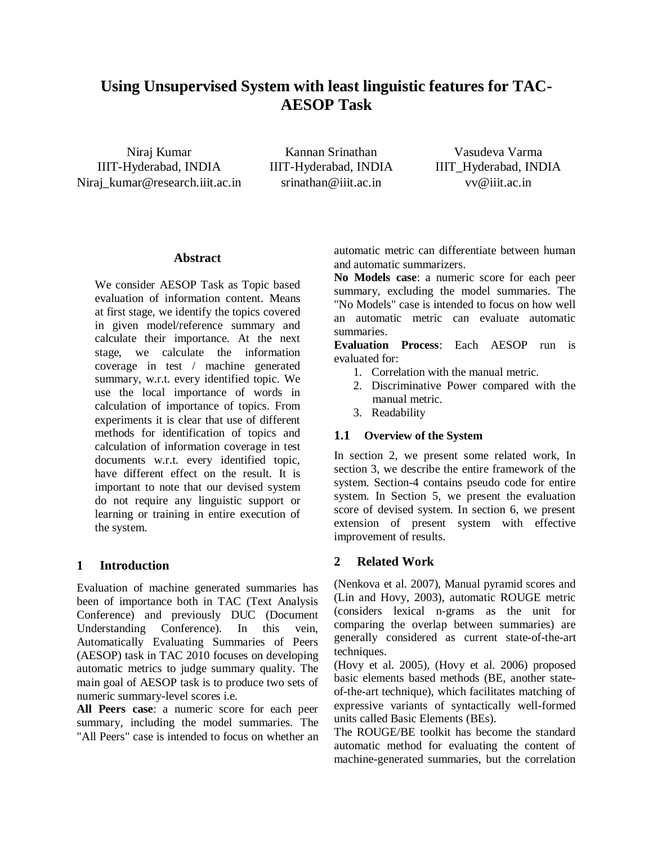# **Using Unsupervised System with least linguistic features for TAC-AESOP Task**

Niraj Kumar IIIT-Hyderabad, INDIA Niraj\_kumar@research.iiit.ac.in srinathan@iiit.ac.in vv@iiit.ac.in

Kannan Srinathan IIIT-Hyderabad, INDIA

Vasudeva Varma IIIT\_Hyderabad, INDIA

# **Abstract**

We consider AESOP Task as Topic based evaluation of information content. Means at first stage, we identify the topics covered in given model/reference summary and calculate their importance. At the next stage, we calculate the information coverage in test / machine generated summary, w.r.t. every identified topic. We use the local importance of words in calculation of importance of topics. From experiments it is clear that use of different methods for identification of topics and calculation of information coverage in test documents w.r.t. every identified topic, have different effect on the result. It is important to note that our devised system do not require any linguistic support or learning or training in entire execution of the system.

# **1 Introduction**

Evaluation of machine generated summaries has been of importance both in TAC (Text Analysis Conference) and previously DUC (Document Understanding Conference). In this vein, Automatically Evaluating Summaries of Peers (AESOP) task in TAC 2010 focuses on developing automatic metrics to judge summary quality. The main goal of AESOP task is to produce two sets of numeric summary-level scores i.e.

**All Peers case**: a numeric score for each peer summary, including the model summaries. The "All Peers" case is intended to focus on whether an automatic metric can differentiate between human and automatic summarizers.

**No Models case**: a numeric score for each peer summary, excluding the model summaries. The "No Models" case is intended to focus on how well an automatic metric can evaluate automatic summaries.

**Evaluation Process**: Each AESOP run is evaluated for:

- 1. Correlation with the manual metric.
- 2. Discriminative Power compared with the manual metric.
- 3. Readability

# **1.1 Overview of the System**

In section 2, we present some related work, In section 3, we describe the entire framework of the system. Section-4 contains pseudo code for entire system. In Section 5, we present the evaluation score of devised system. In section 6, we present extension of present system with effective improvement of results.

# **2 Related Work**

(Nenkova et al. 2007), Manual pyramid scores and (Lin and Hovy, 2003), automatic ROUGE metric (considers lexical n-grams as the unit for comparing the overlap between summaries) are generally considered as current state-of-the-art techniques.

(Hovy et al. 2005), (Hovy et al. 2006) proposed basic elements based methods (BE, another stateof-the-art technique), which facilitates matching of expressive variants of syntactically well-formed units called Basic Elements (BEs).

The ROUGE/BE toolkit has become the standard automatic method for evaluating the content of machine-generated summaries, but the correlation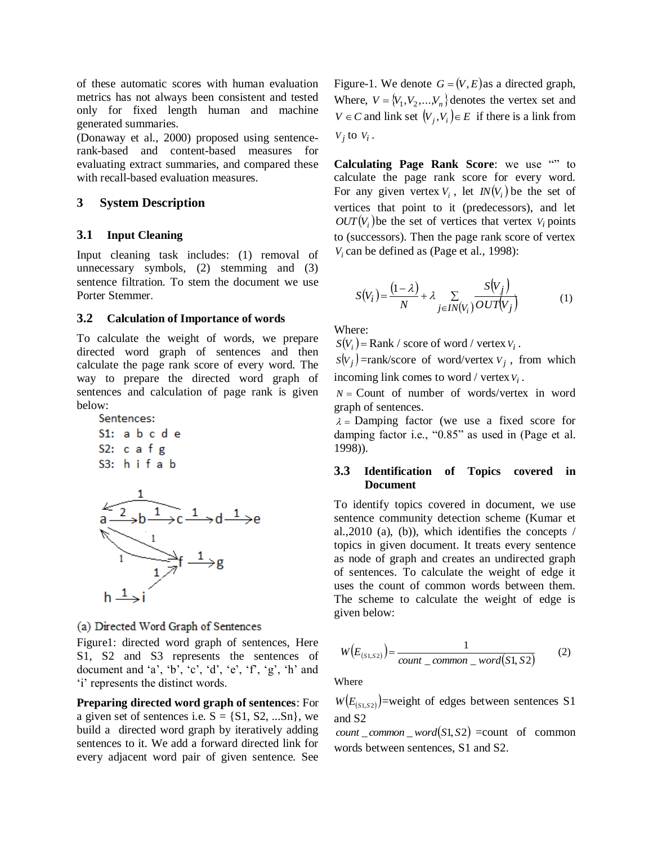of these automatic scores with human evaluation metrics has not always been consistent and tested only for fixed length human and machine generated summaries.

(Donaway et al., 2000) proposed using sentencerank-based and content-based measures for evaluating extract summaries, and compared these with recall-based evaluation measures.

# **3 System Description**

# **3.1 Input Cleaning**

Input cleaning task includes: (1) removal of unnecessary symbols, (2) stemming and (3) sentence filtration. To stem the document we use Porter Stemmer.

# **3.2 Calculation of Importance of words**

To calculate the weight of words, we prepare directed word graph of sentences and then calculate the page rank score of every word. The way to prepare the directed word graph of sentences and calculation of page rank is given below:



# (a) Directed Word Graph of Sentences

Figure1: directed word graph of sentences, Here S1, S2 and S3 represents the sentences of document and 'a', 'b', 'c', 'd', 'e', 'f', 'g', 'h' and 'i' represents the distinct words.

**Preparing directed word graph of sentences**: For a given set of sentences i.e.  $S = \{S1, S2, ...Sn\}$ , we build a directed word graph by iteratively adding sentences to it. We add a forward directed link for every adjacent word pair of given sentence. See

Figure-1. We denote  $G = (V, E)$  as a directed graph, Where,  $V = \{V_1, V_2, \ldots, V_n\}$  denotes the vertex set and  $V \in C$  and link set  $(V_j, V_i) \in E$  if there is a link from  $V_j$  to  $V_i$ .

Calculating Page Rank Score: we use "" to calculate the page rank score for every word. For any given vertex  $V_i$ , let  $IN(V_i)$  be the set of vertices that point to it (predecessors), and let  $OUT(V_i)$  be the set of vertices that vertex  $V_i$  points to (successors). Then the page rank score of vertex  $V_i$  can be defined as (Page et al., 1998):

$$
S(V_i) = \frac{(1 - \lambda)}{N} + \lambda \sum_{j \in IN(V_i)} \frac{S(V_j)}{OUT(V_j)}
$$
(1)

Where:

 $S(V_i)$  = Rank / score of word / vertex  $V_i$ .

 $S(V_j)$ =rank/score of word/vertex  $V_j$ , from which incoming link comes to word / vertex *Vi* .

 $N =$  Count of number of words/vertex in word graph of sentences.

 $\lambda$  = Damping factor (we use a fixed score for damping factor i.e., "0.85" as used in (Page et al. 1998)).

# **3.3 Identification of Topics covered in Document**

To identify topics covered in document, we use sentence community detection scheme (Kumar et al.,  $2010$  (a), (b)), which identifies the concepts / topics in given document. It treats every sentence as node of graph and creates an undirected graph of sentences. To calculate the weight of edge it uses the count of common words between them. The scheme to calculate the weight of edge is given below:

$$
W(E_{(s_1,s_2)}) = \frac{1}{count\_common\_word(S1, S2)}
$$
 (2)

Where

 $W(E_{(s_1,s_2)})$ =weight of edges between sentences S1 and S2

 $count\_common\_word(S1, S2) = count of common$ words between sentences, S1 and S2.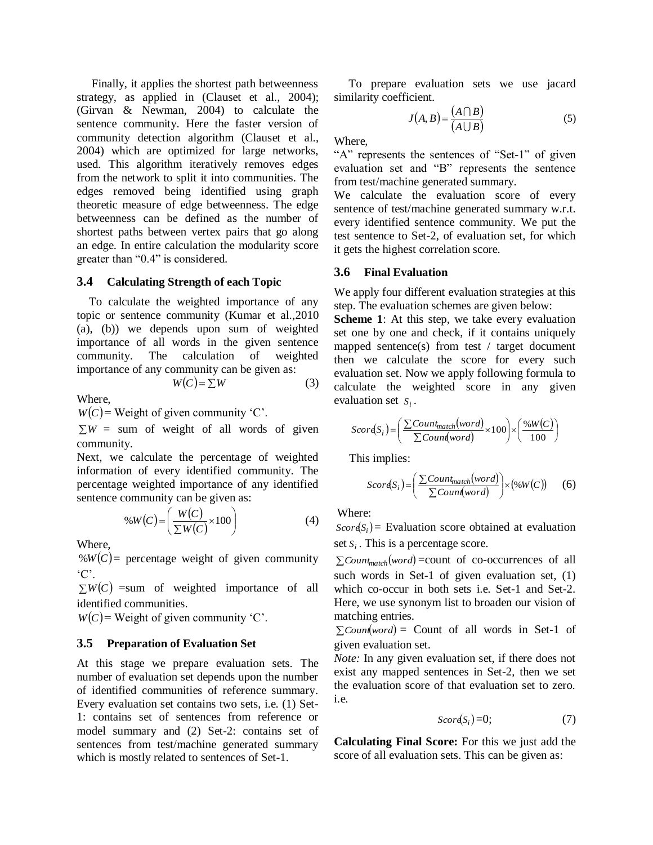Finally, it applies the shortest path betweenness strategy, as applied in (Clauset et al., 2004); (Girvan & Newman, 2004) to calculate the sentence community. Here the faster version of community detection algorithm (Clauset et al., 2004) which are optimized for large networks, used. This algorithm iteratively removes edges from the network to split it into communities. The edges removed being identified using graph theoretic measure of edge betweenness. The edge betweenness can be defined as the number of shortest paths between vertex pairs that go along an edge. In entire calculation the modularity score greater than "0.4" is considered.

#### **3.4 Calculating Strength of each Topic**

To calculate the weighted importance of any topic or sentence community (Kumar et al.,2010 (a), (b)) we depends upon sum of weighted importance of all words in the given sentence community. The calculation of weighted importance of any community can be given as:  $W(C) = \sum W$  (3)

Where,

 $W(C)$  = Weight of given community 'C'.

 $\sum W =$  sum of weight of all words of given community.

Next, we calculate the percentage of weighted information of every identified community. The percentage weighted importance of any identified sentence community can be given as:

$$
\%W(C) = \left(\frac{W(C)}{\Sigma W(C)} \times 100\right) \tag{4}
$$

Where,

 $\mathcal{W}(C)$  = percentage weight of given community  $^{\circ}C^{\prime}$ 

 $\sum W(C)$  =sum of weighted importance of all identified communities.

 $W(C)$  = Weight of given community 'C'.

#### **3.5 Preparation of Evaluation Set**

At this stage we prepare evaluation sets. The number of evaluation set depends upon the number of identified communities of reference summary. Every evaluation set contains two sets, i.e. (1) Set-1: contains set of sentences from reference or model summary and (2) Set-2: contains set of sentences from test/machine generated summary which is mostly related to sentences of Set-1.

 To prepare evaluation sets we use jacard similarity coefficient.

$$
J(A, B) = \frac{(A \cap B)}{(A \cup B)}\tag{5}
$$

Where,

"A" represents the sentences of "Set-1" of given evaluation set and "B" represents the sentence from test/machine generated summary.

We calculate the evaluation score of every sentence of test/machine generated summary w.r.t. every identified sentence community. We put the test sentence to Set-2, of evaluation set, for which it gets the highest correlation score.

#### **3.6 Final Evaluation**

We apply four different evaluation strategies at this step. The evaluation schemes are given below:

**Scheme 1**: At this step, we take every evaluation set one by one and check, if it contains uniquely mapped sentence(s) from test / target document then we calculate the score for every such evaluation set. Now we apply following formula to calculate the weighted score in any given evaluation set  $S_i$ .

$$
Scord(S_i) = \left(\frac{\sum Count_{match}(word)}{\sum Count(word)} \times 100\right) \times \left(\frac{\%W(C)}{100}\right)
$$

This implies:

$$
Scor(S_i) = \left(\frac{\sum Count_{match}(word)}{\sum Count(word)}\right) \times (\%W(C))
$$
 (6)

Where:

 $Score(S_i)$  = Evaluation score obtained at evaluation set  $S_i$ . This is a percentage score.

 $\sum$ *Count<sub>match</sub>*(*word*) = count of co-occurrences of all such words in Set-1 of given evaluation set, (1) which co-occur in both sets i.e. Set-1 and Set-2. Here, we use synonym list to broaden our vision of matching entries.

 $\sum$ *Count*(*word*) = Count of all words in Set-1 of given evaluation set.

*Note:* In any given evaluation set, if there does not exist any mapped sentences in Set-2, then we set the evaluation score of that evaluation set to zero. i.e.

$$
Scor\epsilon(S_i)=0;\t\t(7)
$$

**Calculating Final Score:** For this we just add the score of all evaluation sets. This can be given as: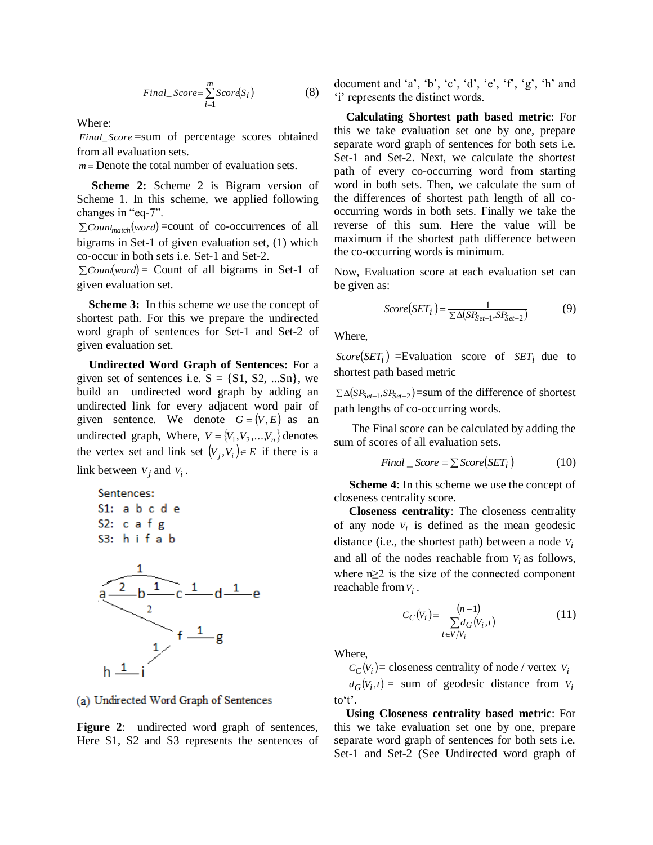$$
Final\_Score = \sum_{i=1}^{m} Score(S_i)
$$
 (8)

Where:

*Final*\_ *Score* =sum of percentage scores obtained from all evaluation sets.

*m* Denote the total number of evaluation sets.

 **Scheme 2:** Scheme 2 is Bigram version of Scheme 1. In this scheme, we applied following changes in "eq-7".

 $\sum$ *Count<sub>match</sub>*(*word*) = count of co-occurrences of all bigrams in Set-1 of given evaluation set, (1) which co-occur in both sets i.e. Set-1 and Set-2.

 $\sum$ *Count*(*word*) = Count of all bigrams in Set-1 of given evaluation set.

 **Scheme 3:** In this scheme we use the concept of shortest path. For this we prepare the undirected word graph of sentences for Set-1 and Set-2 of given evaluation set.

 **Undirected Word Graph of Sentences:** For a given set of sentences i.e.  $S = \{S1, S2, ...Sn\}$ , we build an undirected word graph by adding an undirected link for every adjacent word pair of given sentence. We denote  $G = (V, E)$  as an undirected graph, Where,  $V = \{V_1, V_2, ..., V_n\}$  denotes the vertex set and link set  $(V_j, V_i) \in E$  if there is a link between  $V_j$  and  $V_i$ .

Sentences:  $S1: a b c d e$ S2:  $c$  a  $f$   $g$  $S3: h if a b$ 



(a) Undirected Word Graph of Sentences

**Figure 2**: undirected word graph of sentences, Here S1, S2 and S3 represents the sentences of document and 'a', 'b', 'c', 'd', 'e', 'f', 'g', 'h' and "i" represents the distinct words.

 **Calculating Shortest path based metric**: For this we take evaluation set one by one, prepare separate word graph of sentences for both sets i.e. Set-1 and Set-2. Next, we calculate the shortest path of every co-occurring word from starting word in both sets. Then, we calculate the sum of the differences of shortest path length of all cooccurring words in both sets. Finally we take the reverse of this sum. Here the value will be maximum if the shortest path difference between the co-occurring words is minimum.

Now, Evaluation score at each evaluation set can be given as:

$$
Score(SET_i) = \frac{1}{\sum \Delta(SP_{Set-1}, SP_{Set-2})}
$$
(9)

Where,

 $Score(SET_i)$  =Evaluation score of  $SET_i$  due to shortest path based metric

 $\sum \Delta(SP_{Set-1}, SP_{Set-2})$ =sum of the difference of shortest path lengths of co-occurring words.

 The Final score can be calculated by adding the sum of scores of all evaluation sets.

$$
Final\_Score = \sum Score(SET_i)
$$
 (10)

**Scheme 4**: In this scheme we use the concept of closeness centrality score.

 **Closeness centrality**: The closeness centrality of any node  $V_i$  is defined as the mean geodesic distance (i.e., the shortest path) between a node  $V_i$ and all of the nodes reachable from  $V_i$  as follows, where  $n \geq 2$  is the size of the connected component reachable from *Vi* .

$$
C_C(V_i) = \frac{(n-1)}{\sum_{t \in V/V_i} d_G(V_i, t)}
$$
(11)

Where,

 $C_C(V_i)$  = closeness centrality of node / vertex  $V_i$ 

 $d_G(V_i,t) = \text{sum of geodesic distance from } V_i$ to't'.

**Using Closeness centrality based metric**: For this we take evaluation set one by one, prepare separate word graph of sentences for both sets i.e. Set-1 and Set-2 (See Undirected word graph of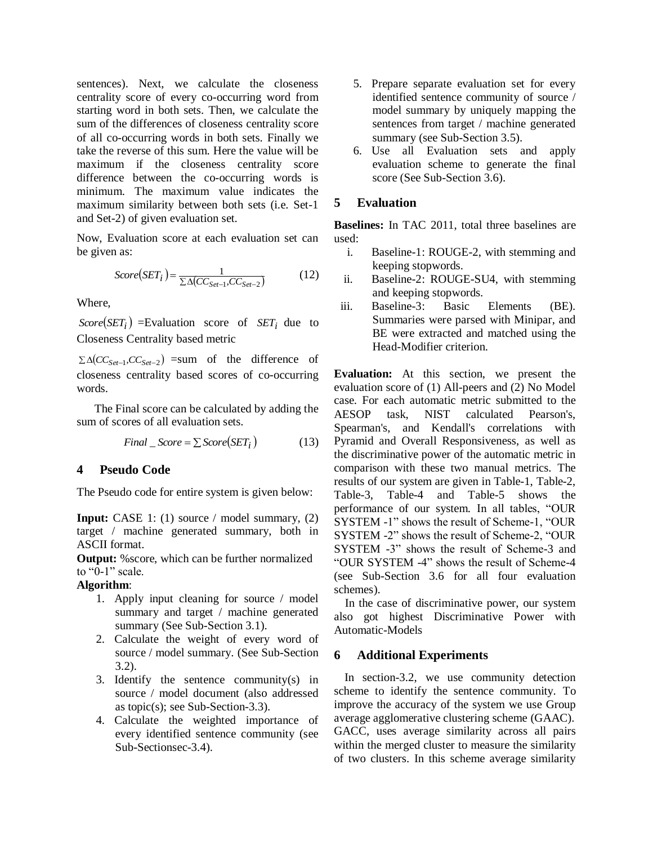sentences). Next, we calculate the closeness centrality score of every co-occurring word from starting word in both sets. Then, we calculate the sum of the differences of closeness centrality score of all co-occurring words in both sets. Finally we take the reverse of this sum. Here the value will be maximum if the closeness centrality score difference between the co-occurring words is minimum. The maximum value indicates the maximum similarity between both sets (i.e. Set-1 and Set-2) of given evaluation set.

Now, Evaluation score at each evaluation set can be given as:

$$
Score(SET_i) = \frac{1}{\sum \Delta (CC_{Set-1}, CC_{Set-2})}
$$
(12)

Where,

 $Score(SET_i)$  =Evaluation score of  $SET_i$  due to Closeness Centrality based metric

 $\sum \Delta (CC_{Set-1}, CC_{Set-2})$  =sum of the difference of closeness centrality based scores of co-occurring words.

 The Final score can be calculated by adding the sum of scores of all evaluation sets.

$$
Final\_Score = \sum Score(SET_i)
$$
 (13)

# **4 Pseudo Code**

The Pseudo code for entire system is given below:

**Input:** CASE 1: (1) source / model summary, (2) target / machine generated summary, both in ASCII format.

**Output:** %score, which can be further normalized to " $0-1$ " scale.

#### **Algorithm**:

- 1. Apply input cleaning for source / model summary and target / machine generated summary (See Sub-Section 3.1).
- 2. Calculate the weight of every word of source / model summary. (See Sub-Section 3.2).
- 3. Identify the sentence community $(s)$  in source / model document (also addressed as topic(s); see Sub-Section-3.3).
- 4. Calculate the weighted importance of every identified sentence community (see Sub-Sectionsec-3.4).
- 5. Prepare separate evaluation set for every identified sentence community of source / model summary by uniquely mapping the sentences from target / machine generated summary (see Sub-Section 3.5).
- 6. Use all Evaluation sets and apply evaluation scheme to generate the final score (See Sub-Section 3.6).

# **5 Evaluation**

**Baselines:** In TAC 2011, total three baselines are used:

- i. Baseline-1: ROUGE-2, with stemming and keeping stopwords.
- ii. Baseline-2: ROUGE-SU4, with stemming and keeping stopwords.
- iii. Baseline-3: Basic Elements (BE). Summaries were parsed with Minipar, and BE were extracted and matched using the Head-Modifier criterion.

**Evaluation:** At this section, we present the evaluation score of (1) All-peers and (2) No Model case. For each automatic metric submitted to the AESOP task, NIST calculated Pearson's, Spearman's, and Kendall's correlations with Pyramid and Overall Responsiveness, as well as the discriminative power of the automatic metric in comparison with these two manual metrics. The results of our system are given in Table-1, Table-2, Table-3, Table-4 and Table-5 shows the performance of our system. In all tables, "OUR SYSTEM -1" shows the result of Scheme-1, "OUR SYSTEM -2" shows the result of Scheme-2, "OUR SYSTEM -3" shows the result of Scheme-3 and "OUR SYSTEM -4" shows the result of Scheme-4 (see Sub-Section 3.6 for all four evaluation schemes).

 In the case of discriminative power, our system also got highest Discriminative Power with Automatic-Models

# **6 Additional Experiments**

In section-3.2, we use community detection scheme to identify the sentence community. To improve the accuracy of the system we use Group average agglomerative clustering scheme (GAAC). GACC, uses average similarity across all pairs within the merged cluster to measure the similarity of two clusters. In this scheme average similarity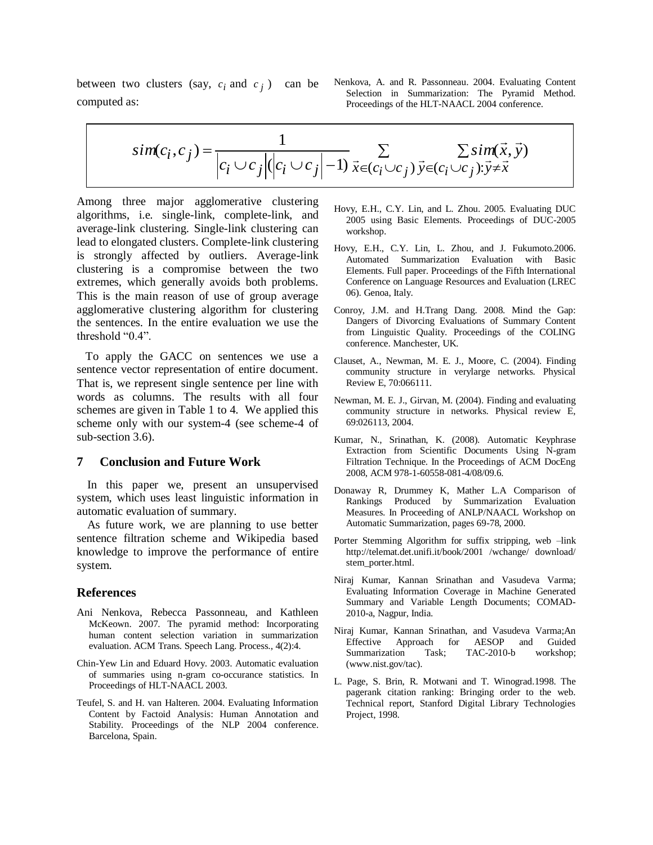between two clusters (say,  $c_i$  and  $c_j$ ) can be computed as:

Nenkova, A. and R. Passonneau. 2004. Evaluating Content Selection in Summarization: The Pyramid Method. Proceedings of the HLT-NAACL 2004 conference.

$$
sim(c_i, c_j) = \frac{1}{|c_i \cup c_j|(|c_i \cup c_j| - 1)} \sum_{\vec{x} \in (c_i \cup c_j)} \sum_{\vec{y} \in (c_i \cup c_j): \vec{y} \neq \vec{x}} \Sigma \, sim(\vec{x}, \vec{y})
$$

Among three major agglomerative clustering algorithms, i.e. single-link, complete-link, and average-link clustering. Single-link clustering can lead to elongated clusters. Complete-link clustering is strongly affected by outliers. Average-link clustering is a compromise between the two extremes, which generally avoids both problems. This is the main reason of use of group average agglomerative clustering algorithm for clustering the sentences. In the entire evaluation we use the threshold "0.4".

 To apply the GACC on sentences we use a sentence vector representation of entire document. That is, we represent single sentence per line with words as columns. The results with all four schemes are given in Table 1 to 4. We applied this scheme only with our system-4 (see scheme-4 of sub-section 3.6).

#### **7 Conclusion and Future Work**

In this paper we, present an unsupervised system, which uses least linguistic information in automatic evaluation of summary.

As future work, we are planning to use better sentence filtration scheme and Wikipedia based knowledge to improve the performance of entire system.

#### **References**

- Ani Nenkova, Rebecca Passonneau, and Kathleen McKeown. 2007. The pyramid method: Incorporating human content selection variation in summarization evaluation. ACM Trans. Speech Lang. Process., 4(2):4.
- Chin-Yew Lin and Eduard Hovy. 2003. Automatic evaluation of summaries using n-gram co-occurance statistics. In Proceedings of HLT-NAACL 2003.
- Teufel, S. and H. van Halteren. 2004. Evaluating Information Content by Factoid Analysis: Human Annotation and Stability. Proceedings of the NLP 2004 conference. Barcelona, Spain.
- Hovy, E.H., C.Y. Lin, and L. Zhou. 2005. Evaluating DUC 2005 using Basic Elements. Proceedings of DUC-2005 workshop.
- Hovy, E.H., C.Y. Lin, L. Zhou, and J. Fukumoto.2006. Automated Summarization Evaluation with Basic Elements. Full paper. Proceedings of the Fifth International Conference on Language Resources and Evaluation (LREC 06). Genoa, Italy.
- Conroy, J.M. and H.Trang Dang. 2008. Mind the Gap: Dangers of Divorcing Evaluations of Summary Content from Linguistic Quality. Proceedings of the COLING conference. Manchester, UK.
- Clauset, A., Newman, M. E. J., Moore, C. (2004). Finding community structure in verylarge networks. Physical Review E, 70:066111.
- Newman, M. E. J., Girvan, M. (2004). Finding and evaluating community structure in networks. Physical review E, 69:026113, 2004.
- Kumar, N., Srinathan, K. (2008). Automatic Keyphrase Extraction from Scientific Documents Using N-gram Filtration Technique. In the Proceedings of ACM DocEng 2008, ACM 978-1-60558-081-4/08/09.6.
- Donaway R, Drummey K, Mather L.A Comparison of Rankings Produced by Summarization Evaluation Measures. In Proceeding of ANLP/NAACL Workshop on Automatic Summarization, pages 69-78, 2000.
- Porter Stemming Algorithm for suffix stripping, web -link http://telemat.det.unifi.it/book/2001 /wchange/ download/ stem\_porter.html.
- Niraj Kumar, Kannan Srinathan and Vasudeva Varma; Evaluating Information Coverage in Machine Generated Summary and Variable Length Documents; COMAD-2010-a, Nagpur, India.
- Niraj Kumar, Kannan Srinathan, and Vasudeva Varma;An Effective Approach for AESOP and Guided Summarization Task; TAC-2010-b workshop; (www.nist.gov/tac).
- L. Page, S. Brin, R. Motwani and T. Winograd.1998. The pagerank citation ranking: Bringing order to the web. Technical report, Stanford Digital Library Technologies Project, 1998.